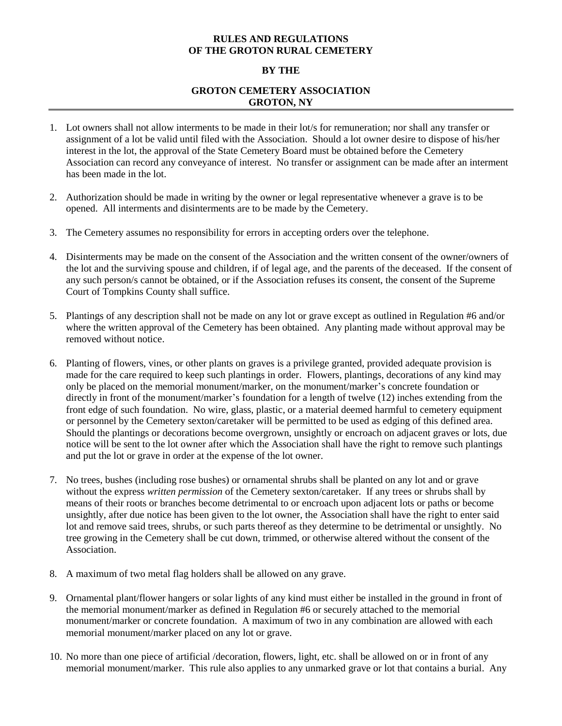## **RULES AND REGULATIONS OF THE GROTON RURAL CEMETERY**

## **BY THE**

## **GROTON CEMETERY ASSOCIATION GROTON, NY**

- 1. Lot owners shall not allow interments to be made in their lot/s for remuneration; nor shall any transfer or assignment of a lot be valid until filed with the Association. Should a lot owner desire to dispose of his/her interest in the lot, the approval of the State Cemetery Board must be obtained before the Cemetery Association can record any conveyance of interest. No transfer or assignment can be made after an interment has been made in the lot.
- 2. Authorization should be made in writing by the owner or legal representative whenever a grave is to be opened. All interments and disinterments are to be made by the Cemetery.
- 3. The Cemetery assumes no responsibility for errors in accepting orders over the telephone.
- 4. Disinterments may be made on the consent of the Association and the written consent of the owner/owners of the lot and the surviving spouse and children, if of legal age, and the parents of the deceased. If the consent of any such person/s cannot be obtained, or if the Association refuses its consent, the consent of the Supreme Court of Tompkins County shall suffice.
- 5. Plantings of any description shall not be made on any lot or grave except as outlined in Regulation #6 and/or where the written approval of the Cemetery has been obtained. Any planting made without approval may be removed without notice.
- 6. Planting of flowers, vines, or other plants on graves is a privilege granted, provided adequate provision is made for the care required to keep such plantings in order. Flowers, plantings, decorations of any kind may only be placed on the memorial monument/marker, on the monument/marker's concrete foundation or directly in front of the monument/marker's foundation for a length of twelve (12) inches extending from the front edge of such foundation. No wire, glass, plastic, or a material deemed harmful to cemetery equipment or personnel by the Cemetery sexton/caretaker will be permitted to be used as edging of this defined area. Should the plantings or decorations become overgrown, unsightly or encroach on adjacent graves or lots, due notice will be sent to the lot owner after which the Association shall have the right to remove such plantings and put the lot or grave in order at the expense of the lot owner.
- 7. No trees, bushes (including rose bushes) or ornamental shrubs shall be planted on any lot and or grave without the express *written permission* of the Cemetery sexton/caretaker. If any trees or shrubs shall by means of their roots or branches become detrimental to or encroach upon adjacent lots or paths or become unsightly, after due notice has been given to the lot owner, the Association shall have the right to enter said lot and remove said trees, shrubs, or such parts thereof as they determine to be detrimental or unsightly. No tree growing in the Cemetery shall be cut down, trimmed, or otherwise altered without the consent of the Association.
- 8. A maximum of two metal flag holders shall be allowed on any grave.
- 9. Ornamental plant/flower hangers or solar lights of any kind must either be installed in the ground in front of the memorial monument/marker as defined in Regulation #6 or securely attached to the memorial monument/marker or concrete foundation. A maximum of two in any combination are allowed with each memorial monument/marker placed on any lot or grave.
- 10. No more than one piece of artificial /decoration, flowers, light, etc. shall be allowed on or in front of any memorial monument/marker. This rule also applies to any unmarked grave or lot that contains a burial. Any